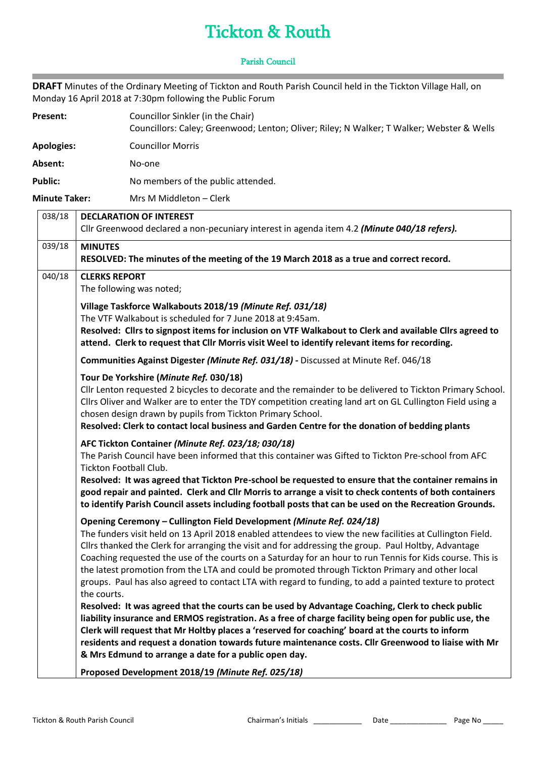## Tickton & Routh

## Parish Council

**DRAFT** Minutes of the Ordinary Meeting of Tickton and Routh Parish Council held in the Tickton Village Hall, on Monday 16 April 2018 at 7:30pm following the Public Forum

| Present:          | Councillor Sinkler (in the Chair)<br>Councillors: Caley; Greenwood; Lenton; Oliver; Riley; N Walker; T Walker; Webster & Wells |
|-------------------|--------------------------------------------------------------------------------------------------------------------------------|
| <b>Apologies:</b> | <b>Councillor Morris</b>                                                                                                       |
| Absent:           | No-one                                                                                                                         |
| <b>Public:</b>    | No members of the public attended.                                                                                             |

**Minute Taker:** Mrs M Middleton – Clerk

**COL** 

| 038/18 | <b>DECLARATION OF INTEREST</b>                                                                                                                                                                             |
|--------|------------------------------------------------------------------------------------------------------------------------------------------------------------------------------------------------------------|
|        | Cllr Greenwood declared a non-pecuniary interest in agenda item 4.2 (Minute 040/18 refers).                                                                                                                |
| 039/18 | <b>MINUTES</b>                                                                                                                                                                                             |
|        | RESOLVED: The minutes of the meeting of the 19 March 2018 as a true and correct record.                                                                                                                    |
| 040/18 | <b>CLERKS REPORT</b>                                                                                                                                                                                       |
|        | The following was noted;                                                                                                                                                                                   |
|        | Village Taskforce Walkabouts 2018/19 (Minute Ref. 031/18)                                                                                                                                                  |
|        | The VTF Walkabout is scheduled for 7 June 2018 at 9:45am.                                                                                                                                                  |
|        | Resolved: Cllrs to signpost items for inclusion on VTF Walkabout to Clerk and available Cllrs agreed to<br>attend. Clerk to request that Cllr Morris visit Weel to identify relevant items for recording.  |
|        | Communities Against Digester (Minute Ref. 031/18) - Discussed at Minute Ref. 046/18                                                                                                                        |
|        | Tour De Yorkshire (Minute Ref. 030/18)                                                                                                                                                                     |
|        | Cllr Lenton requested 2 bicycles to decorate and the remainder to be delivered to Tickton Primary School.                                                                                                  |
|        | Cllrs Oliver and Walker are to enter the TDY competition creating land art on GL Cullington Field using a                                                                                                  |
|        | chosen design drawn by pupils from Tickton Primary School.<br>Resolved: Clerk to contact local business and Garden Centre for the donation of bedding plants                                               |
|        |                                                                                                                                                                                                            |
|        | AFC Tickton Container (Minute Ref. 023/18; 030/18)<br>The Parish Council have been informed that this container was Gifted to Tickton Pre-school from AFC                                                  |
|        | Tickton Football Club.                                                                                                                                                                                     |
|        | Resolved: It was agreed that Tickton Pre-school be requested to ensure that the container remains in                                                                                                       |
|        | good repair and painted. Clerk and Cllr Morris to arrange a visit to check contents of both containers                                                                                                     |
|        | to identify Parish Council assets including football posts that can be used on the Recreation Grounds.                                                                                                     |
|        | Opening Ceremony - Cullington Field Development (Minute Ref. 024/18)                                                                                                                                       |
|        | The funders visit held on 13 April 2018 enabled attendees to view the new facilities at Cullington Field.                                                                                                  |
|        | Cllrs thanked the Clerk for arranging the visit and for addressing the group. Paul Holtby, Advantage                                                                                                       |
|        | Coaching requested the use of the courts on a Saturday for an hour to run Tennis for Kids course. This is                                                                                                  |
|        | the latest promotion from the LTA and could be promoted through Tickton Primary and other local<br>groups. Paul has also agreed to contact LTA with regard to funding, to add a painted texture to protect |
|        | the courts.                                                                                                                                                                                                |
|        | Resolved: It was agreed that the courts can be used by Advantage Coaching, Clerk to check public                                                                                                           |
|        | liability insurance and ERMOS registration. As a free of charge facility being open for public use, the                                                                                                    |
|        | Clerk will request that Mr Holtby places a 'reserved for coaching' board at the courts to inform                                                                                                           |
|        | residents and request a donation towards future maintenance costs. Cllr Greenwood to liaise with Mr                                                                                                        |
|        | & Mrs Edmund to arrange a date for a public open day.                                                                                                                                                      |
|        | Proposed Development 2018/19 (Minute Ref. 025/18)                                                                                                                                                          |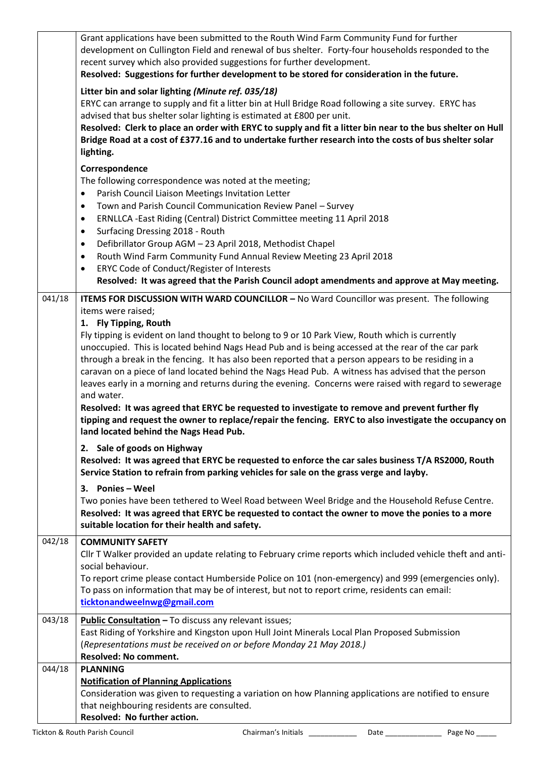|        | Grant applications have been submitted to the Routh Wind Farm Community Fund for further<br>development on Cullington Field and renewal of bus shelter. Forty-four households responded to the                       |
|--------|----------------------------------------------------------------------------------------------------------------------------------------------------------------------------------------------------------------------|
|        | recent survey which also provided suggestions for further development.<br>Resolved: Suggestions for further development to be stored for consideration in the future.                                                |
|        | Litter bin and solar lighting (Minute ref. 035/18)                                                                                                                                                                   |
|        | ERYC can arrange to supply and fit a litter bin at Hull Bridge Road following a site survey. ERYC has<br>advised that bus shelter solar lighting is estimated at £800 per unit.                                      |
|        | Resolved: Clerk to place an order with ERYC to supply and fit a litter bin near to the bus shelter on Hull<br>Bridge Road at a cost of £377.16 and to undertake further research into the costs of bus shelter solar |
|        | lighting.                                                                                                                                                                                                            |
|        | Correspondence                                                                                                                                                                                                       |
|        | The following correspondence was noted at the meeting;                                                                                                                                                               |
|        | Parish Council Liaison Meetings Invitation Letter<br>$\bullet$                                                                                                                                                       |
|        | Town and Parish Council Communication Review Panel - Survey<br>$\bullet$                                                                                                                                             |
|        | ERNLLCA - East Riding (Central) District Committee meeting 11 April 2018<br>$\bullet$                                                                                                                                |
|        | Surfacing Dressing 2018 - Routh<br>$\bullet$                                                                                                                                                                         |
|        | Defibrillator Group AGM - 23 April 2018, Methodist Chapel<br>$\bullet$                                                                                                                                               |
|        | Routh Wind Farm Community Fund Annual Review Meeting 23 April 2018<br>$\bullet$                                                                                                                                      |
|        | ERYC Code of Conduct/Register of Interests<br>$\bullet$                                                                                                                                                              |
|        | Resolved: It was agreed that the Parish Council adopt amendments and approve at May meeting.                                                                                                                         |
| 041/18 | ITEMS FOR DISCUSSION WITH WARD COUNCILLOR - No Ward Councillor was present. The following                                                                                                                            |
|        | items were raised;                                                                                                                                                                                                   |
|        | 1. Fly Tipping, Routh                                                                                                                                                                                                |
|        | Fly tipping is evident on land thought to belong to 9 or 10 Park View, Routh which is currently                                                                                                                      |
|        | unoccupied. This is located behind Nags Head Pub and is being accessed at the rear of the car park                                                                                                                   |
|        | through a break in the fencing. It has also been reported that a person appears to be residing in a                                                                                                                  |
|        | caravan on a piece of land located behind the Nags Head Pub. A witness has advised that the person<br>leaves early in a morning and returns during the evening. Concerns were raised with regard to sewerage         |
|        | and water.                                                                                                                                                                                                           |
|        | Resolved: It was agreed that ERYC be requested to investigate to remove and prevent further fly                                                                                                                      |
|        | tipping and request the owner to replace/repair the fencing. ERYC to also investigate the occupancy on                                                                                                               |
|        | land located behind the Nags Head Pub.                                                                                                                                                                               |
|        | 2. Sale of goods on Highway                                                                                                                                                                                          |
|        | Resolved: It was agreed that ERYC be requested to enforce the car sales business T/A RS2000, Routh                                                                                                                   |
|        | Service Station to refrain from parking vehicles for sale on the grass verge and layby.                                                                                                                              |
|        | 3. Ponies - Weel                                                                                                                                                                                                     |
|        | Two ponies have been tethered to Weel Road between Weel Bridge and the Household Refuse Centre.                                                                                                                      |
|        | Resolved: It was agreed that ERYC be requested to contact the owner to move the ponies to a more                                                                                                                     |
|        | suitable location for their health and safety.                                                                                                                                                                       |
| 042/18 | <b>COMMUNITY SAFETY</b>                                                                                                                                                                                              |
|        | CIIr T Walker provided an update relating to February crime reports which included vehicle theft and anti-                                                                                                           |
|        | social behaviour.                                                                                                                                                                                                    |
|        | To report crime please contact Humberside Police on 101 (non-emergency) and 999 (emergencies only).                                                                                                                  |
|        | To pass on information that may be of interest, but not to report crime, residents can email:                                                                                                                        |
|        | ticktonandweelnwg@gmail.com                                                                                                                                                                                          |
| 043/18 | Public Consultation - To discuss any relevant issues;                                                                                                                                                                |
|        | East Riding of Yorkshire and Kingston upon Hull Joint Minerals Local Plan Proposed Submission                                                                                                                        |
|        | (Representations must be received on or before Monday 21 May 2018.)                                                                                                                                                  |
|        | Resolved: No comment.                                                                                                                                                                                                |
| 044/18 | <b>PLANNING</b>                                                                                                                                                                                                      |
|        | <b>Notification of Planning Applications</b>                                                                                                                                                                         |
|        | Consideration was given to requesting a variation on how Planning applications are notified to ensure                                                                                                                |
|        | that neighbouring residents are consulted.                                                                                                                                                                           |
|        | Resolved: No further action.                                                                                                                                                                                         |